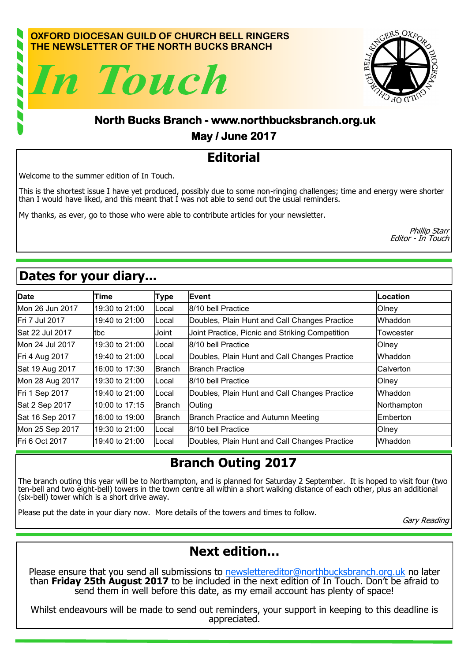#### **OXFORD DIOCESAN GUILD OF CHURCH BELL RINGERS THE NEWSLETTER OF THE NORTH BUCKS BRANCH**





#### **North Bucks Branch - www.northbucksbranch.org.uk May / June 2017**

## **Editorial**

Welcome to the summer edition of In Touch.

This is the shortest issue I have yet produced, possibly due to some non-ringing challenges; time and energy were shorter than I would have liked, and this meant that I was not able to send out the usual reminders.

My thanks, as ever, go to those who were able to contribute articles for your newsletter.

Phillip Starr Editor - In Touch

# **Dates for your diary...**

| <b>Date</b>     | Time           | <b>Type</b>   | Event                                           | Location    |
|-----------------|----------------|---------------|-------------------------------------------------|-------------|
| Mon 26 Jun 2017 | 19:30 to 21:00 | Local         | 8/10 bell Practice                              | Olney       |
| Fri 7 Jul 2017  | 19:40 to 21:00 | Local         | Doubles, Plain Hunt and Call Changes Practice   | Whaddon     |
| Sat 22 Jul 2017 | tbc            | Joint         | Joint Practice, Picnic and Striking Competition | Towcester   |
| Mon 24 Jul 2017 | 19:30 to 21:00 | Local         | 8/10 bell Practice                              | Olney       |
| Fri 4 Aug 2017  | 19:40 to 21:00 | Local         | Doubles, Plain Hunt and Call Changes Practice   | Whaddon     |
| Sat 19 Aug 2017 | 16:00 to 17:30 | <b>Branch</b> | <b>Branch Practice</b>                          | Calverton   |
| Mon 28 Aug 2017 | 19:30 to 21:00 | Local         | 8/10 bell Practice                              | Olney       |
| Fri 1 Sep 2017  | 19:40 to 21:00 | Local         | Doubles, Plain Hunt and Call Changes Practice   | Whaddon     |
| Sat 2 Sep 2017  | 10:00 to 17:15 | <b>Branch</b> | Outing                                          | Northampton |
| Sat 16 Sep 2017 | 16:00 to 19:00 | lBranch       | <b>Branch Practice and Autumn Meeting</b>       | Emberton    |
| Mon 25 Sep 2017 | 19:30 to 21:00 | Local         | 8/10 bell Practice                              | Olney       |
| Fri 6 Oct 2017  | 19:40 to 21:00 | Local         | Doubles, Plain Hunt and Call Changes Practice   | Whaddon     |

## **Branch Outing 2017**

The branch outing this year will be to Northampton, and is planned for Saturday 2 September. It is hoped to visit four (two ten-bell and two eight-bell) towers in the town centre all within a short walking distance of each other, plus an additional (six-bell) tower which is a short drive away.

Please put the date in your diary now. More details of the towers and times to follow.

Gary Reading

### **Next edition…**

Please ensure that you send all submissions to [newslettereditor@northbucksbranch.org.uk](mailto:newslettereditor@northbucksbranch.org.uk) no later than **Friday 25th August 2017** to be included in the next edition of In Touch. Don't be afraid to send them in well before this date, as my email account has plenty of space!

Whilst endeavours will be made to send out reminders, your support in keeping to this deadline is appreciated.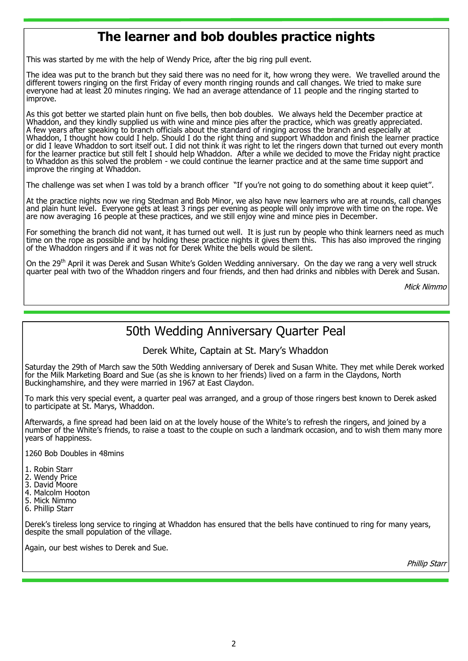### **The learner and bob doubles practice nights**

This was started by me with the help of Wendy Price, after the big ring pull event.

The idea was put to the branch but they said there was no need for it, how wrong they were. We travelled around the different towers ringing on the first Friday of every month ringing rounds and call changes. We tried to make sure everyone had at least 20 minutes ringing. We had an average attendance of 11 people and the ringing started to improve.

As this got better we started plain hunt on five bells, then bob doubles. We always held the December practice at Whaddon, and they kindly supplied us with wine and mince pies after the practice, which was greatly appreciated. A few years after speaking to branch officials about the standard of ringing across the branch and especially at Whaddon, I thought how could I help. Should I do the right thing and support Whaddon and finish the learner practice or did I leave Whaddon to sort itself out. I did not think it was right to let the ringers down that turned out every month for the learner practice but still felt I should help Whaddon. After a while we decided to move the Friday night practice to Whaddon as this solved the problem - we could continue the learner practice and at the same time support and improve the ringing at Whaddon.

The challenge was set when I was told by a branch officer "If you're not going to do something about it keep quiet".

At the practice nights now we ring Stedman and Bob Minor, we also have new learners who are at rounds, call changes and plain hunt level. Everyone gets at least 3 rings per evening as people will only improve with time on the rope. We are now averaging 16 people at these practices, and we still enjoy wine and mince pies in December.

For something the branch did not want, it has turned out well. It is just run by people who think learners need as much time on the rope as possible and by holding these practice nights it gives them this. This has also improved the ringing of the Whaddon ringers and if it was not for Derek White the bells would be silent.

On the 29<sup>th</sup> April it was Derek and Susan White's Golden Wedding anniversary. On the day we rang a very well struck quarter peal with two of the Whaddon ringers and four friends, and then had drinks and nibbles with Derek and Susan.

Mick Nimmo

#### 50th Wedding Anniversary Quarter Peal

Derek White, Captain at St. Mary's Whaddon

Saturday the 29th of March saw the 50th Wedding anniversary of Derek and Susan White. They met while Derek worked for the Milk Marketing Board and Sue (as she is known to her friends) lived on a farm in the Claydons, North Buckinghamshire, and they were married in 1967 at East Claydon.

To mark this very special event, a quarter peal was arranged, and a group of those ringers best known to Derek asked to participate at St. Marys, Whaddon.

Afterwards, a fine spread had been laid on at the lovely house of the White's to refresh the ringers, and joined by a number of the White's friends, to raise a toast to the couple on such a landmark occasion, and to wish them many more years of happiness.

1260 Bob Doubles in 48mins

- 1. Robin Starr
- 2. Wendy Price
- 3. David Moore
- 4. Malcolm Hooton
- 5. Mick Nimmo
- 6. Phillip Starr

Derek's tireless long service to ringing at Whaddon has ensured that the bells have continued to ring for many years, despite the small population of the village.

Again, our best wishes to Derek and Sue.

Phillip Stari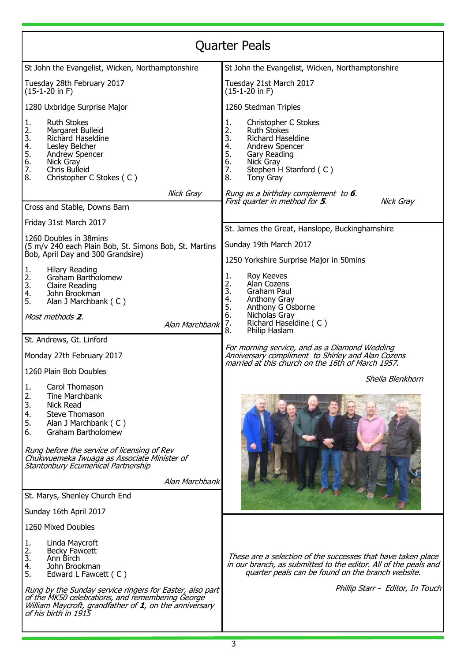| <b>Quarter Peals</b>                                                                                                                                                                                                                                                                         |                                                                                                                                                                                                                          |  |  |  |  |
|----------------------------------------------------------------------------------------------------------------------------------------------------------------------------------------------------------------------------------------------------------------------------------------------|--------------------------------------------------------------------------------------------------------------------------------------------------------------------------------------------------------------------------|--|--|--|--|
| St John the Evangelist, Wicken, Northamptonshire                                                                                                                                                                                                                                             | St John the Evangelist, Wicken, Northamptonshire                                                                                                                                                                         |  |  |  |  |
| Tuesday 28th February 2017<br>$(15-1-20$ in F)                                                                                                                                                                                                                                               | Tuesday 21st March 2017<br>(15-1-20 in F)                                                                                                                                                                                |  |  |  |  |
| 1280 Uxbridge Surprise Major                                                                                                                                                                                                                                                                 | 1260 Stedman Triples                                                                                                                                                                                                     |  |  |  |  |
| <b>Ruth Stokes</b><br>1.<br>2.<br>Margaret Bulleid<br>3.<br>Richard Haseldine<br>4.<br>Lesley Belcher<br>5.<br>6.<br>Andrew Spencer<br>Nick Gray<br>7.<br>Chris Bulleid<br>8.<br>Christopher C Stokes (C)                                                                                    | Christopher C Stokes<br>1.<br>2.<br><b>Ruth Stokes</b><br>3.<br>Richard Haseldine<br>4.<br>Andrew Spencer<br>5.<br>Gary Reading<br>6.<br>Nick Gray<br>7.<br>Stephen H Stanford (C)<br>8.<br>Tony Gray                    |  |  |  |  |
| Nick Gray                                                                                                                                                                                                                                                                                    | Rung as a birthday complement to <b>6</b> .                                                                                                                                                                              |  |  |  |  |
| Cross and Stable, Downs Barn                                                                                                                                                                                                                                                                 | Nick Gray<br>First quarter in method for <b>5</b> .                                                                                                                                                                      |  |  |  |  |
| Friday 31st March 2017                                                                                                                                                                                                                                                                       | St. James the Great, Hanslope, Buckinghamshire                                                                                                                                                                           |  |  |  |  |
| 1260 Doubles in 38mins<br>(5 m/v 240 each Plain Bob, St. Simons Bob, St. Martins                                                                                                                                                                                                             | Sunday 19th March 2017                                                                                                                                                                                                   |  |  |  |  |
| Bob, April Day and 300 Grandsire)                                                                                                                                                                                                                                                            | 1250 Yorkshire Surprise Major in 50mins                                                                                                                                                                                  |  |  |  |  |
| <b>Hilary Reading</b><br>1.<br>2.<br>Graham Bartholomew<br>$\overline{3}$ .<br>Claire Reading<br>4.<br>John Brookman<br>5.<br>Alan J Marchbank (C)<br>Most methods 2.<br>Alan Marchbank                                                                                                      | Roy Keeves<br>1.<br>2.<br>Alan Cozens<br>3.<br>Graham Paul<br>4.<br>Anthony Gray<br>Anthony G Osborne<br>5.<br>6.<br>Nicholas Gray<br>7.<br>Richard Haseldine (C)<br>Philip Haslam<br>8.                                 |  |  |  |  |
| St. Andrews, Gt. Linford<br>Monday 27th February 2017                                                                                                                                                                                                                                        | For morning service, and as a Diamond Wedding<br>Anniversary compliment to Shirley and Alan Cozens<br>married at this church on the 16th of March 1957.                                                                  |  |  |  |  |
| 1260 Plain Bob Doubles                                                                                                                                                                                                                                                                       | Sheila Blenkhorn                                                                                                                                                                                                         |  |  |  |  |
| 1.<br>Carol Thomason<br>2.<br><b>Tine Marchbank</b><br>3.<br>Nick Read<br>4.<br>Steve Thomason<br>5.<br>Alan J Marchbank (C)<br>6.<br>Graham Bartholomew<br>Rung before the service of licensing of Rev<br>Chukwuemeka Iwuaga as Associate Minister of<br>Stantonbury Ecumenical Partnership |                                                                                                                                                                                                                          |  |  |  |  |
| Alan Marchbank<br>St. Marys, Shenley Church End                                                                                                                                                                                                                                              |                                                                                                                                                                                                                          |  |  |  |  |
| Sunday 16th April 2017                                                                                                                                                                                                                                                                       |                                                                                                                                                                                                                          |  |  |  |  |
| 1260 Mixed Doubles                                                                                                                                                                                                                                                                           |                                                                                                                                                                                                                          |  |  |  |  |
| Linda Maycroft<br>1.<br>2.<br>Becky Fawcett<br>3.<br>Ann Birch<br>4.<br>John Brookman<br>5.<br>Edward L Fawcett (C)<br>Rung by the Sunday service ringers for Easter, also part<br>of the MK50 celebrations, and remembering George                                                          | These are a selection of the successes that have taken place<br>in our branch, as submitted to the editor. All of the peals and<br>quarter peals can be found on the branch website.<br>Phillip Starr - Editor, In Touch |  |  |  |  |
| William Maycroft, grandfather of 1, on the anniversary<br>of his birth in 1915<br>3                                                                                                                                                                                                          |                                                                                                                                                                                                                          |  |  |  |  |